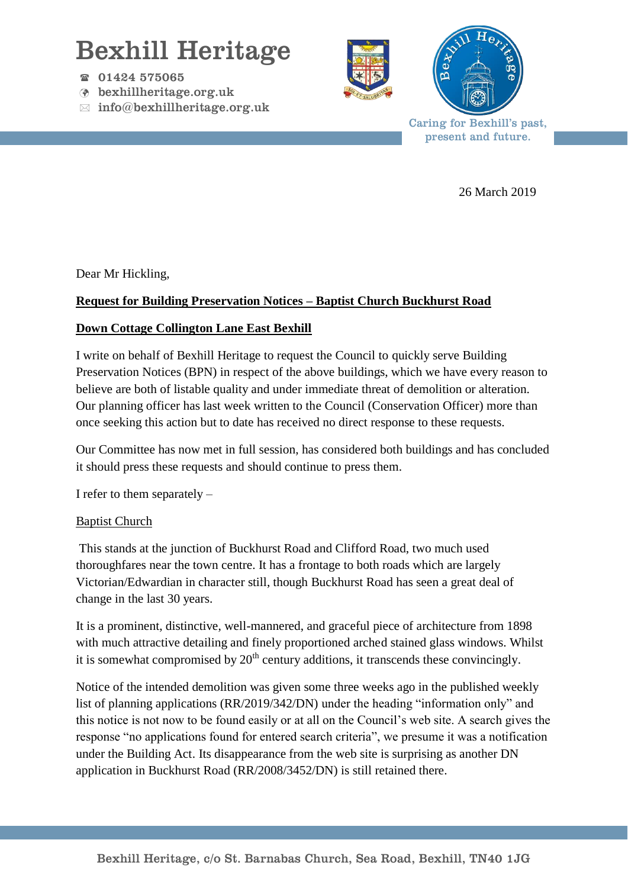# Bexhill Heritage

- $\textcircled{r}$  01424 575065
- bexhillheritage.org.uk
- $\boxtimes$  info@bexhillheritage.org.uk





Caring for Bexhill's past, present and future.

26 March 2019

Dear Mr Hickling,

## **Request for Building Preservation Notices – Baptist Church Buckhurst Road**

### **Down Cottage Collington Lane East Bexhill**

I write on behalf of Bexhill Heritage to request the Council to quickly serve Building Preservation Notices (BPN) in respect of the above buildings, which we have every reason to believe are both of listable quality and under immediate threat of demolition or alteration. Our planning officer has last week written to the Council (Conservation Officer) more than once seeking this action but to date has received no direct response to these requests.

Our Committee has now met in full session, has considered both buildings and has concluded it should press these requests and should continue to press them.

I refer to them separately –

#### Baptist Church

This stands at the junction of Buckhurst Road and Clifford Road, two much used thoroughfares near the town centre. It has a frontage to both roads which are largely Victorian/Edwardian in character still, though Buckhurst Road has seen a great deal of change in the last 30 years.

It is a prominent, distinctive, well-mannered, and graceful piece of architecture from 1898 with much attractive detailing and finely proportioned arched stained glass windows. Whilst it is somewhat compromised by  $20<sup>th</sup>$  century additions, it transcends these convincingly.

Notice of the intended demolition was given some three weeks ago in the published weekly list of planning applications (RR/2019/342/DN) under the heading "information only" and this notice is not now to be found easily or at all on the Council's web site. A search gives the response "no applications found for entered search criteria", we presume it was a notification under the Building Act. Its disappearance from the web site is surprising as another DN application in Buckhurst Road (RR/2008/3452/DN) is still retained there.